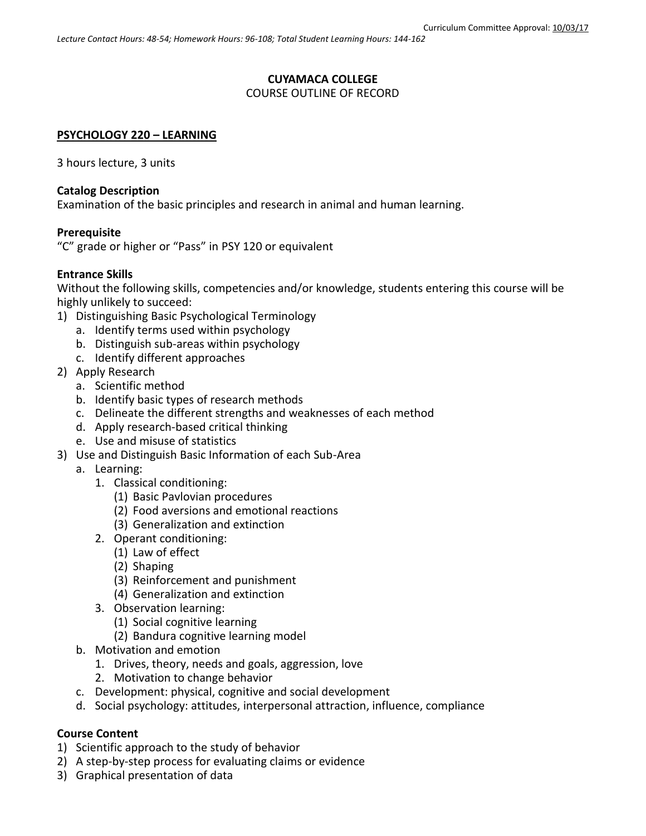## **CUYAMACA COLLEGE**

## COURSE OUTLINE OF RECORD

### **PSYCHOLOGY 220 – LEARNING**

3 hours lecture, 3 units

### **Catalog Description**

Examination of the basic principles and research in animal and human learning.

### **Prerequisite**

"C" grade or higher or "Pass" in PSY 120 or equivalent

### **Entrance Skills**

Without the following skills, competencies and/or knowledge, students entering this course will be highly unlikely to succeed:

- 1) Distinguishing Basic Psychological Terminology
	- a. Identify terms used within psychology
	- b. Distinguish sub-areas within psychology
	- c. Identify different approaches
- 2) Apply Research
	- a. Scientific method
	- b. Identify basic types of research methods
	- c. Delineate the different strengths and weaknesses of each method
	- d. Apply research-based critical thinking
	- e. Use and misuse of statistics
- 3) Use and Distinguish Basic Information of each Sub-Area
	- a. Learning:
		- 1. Classical conditioning:
			- (1) Basic Pavlovian procedures
			- (2) Food aversions and emotional reactions
			- (3) Generalization and extinction
		- 2. Operant conditioning:
			- (1) Law of effect
			- (2) Shaping
			- (3) Reinforcement and punishment
			- (4) Generalization and extinction
		- 3. Observation learning:
			- (1) Social cognitive learning
			- (2) Bandura cognitive learning model
	- b. Motivation and emotion
		- 1. Drives, theory, needs and goals, aggression, love
		- 2. Motivation to change behavior
	- c. Development: physical, cognitive and social development
	- d. Social psychology: attitudes, interpersonal attraction, influence, compliance

### **Course Content**

- 1) Scientific approach to the study of behavior
- 2) A step-by-step process for evaluating claims or evidence
- 3) Graphical presentation of data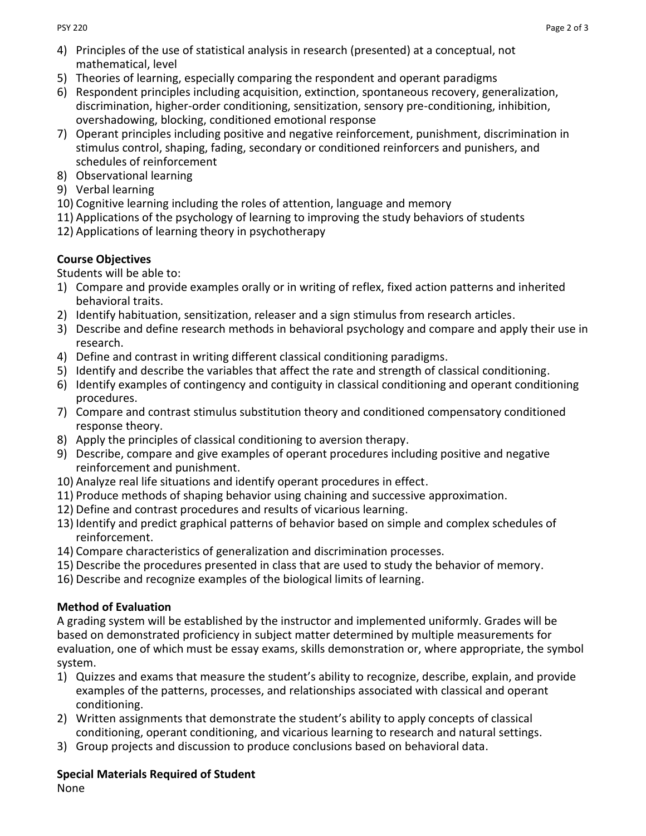- 4) Principles of the use of statistical analysis in research (presented) at a conceptual, not mathematical, level
- 5) Theories of learning, especially comparing the respondent and operant paradigms
- 6) Respondent principles including acquisition, extinction, spontaneous recovery, generalization, discrimination, higher-order conditioning, sensitization, sensory pre-conditioning, inhibition, overshadowing, blocking, conditioned emotional response
- 7) Operant principles including positive and negative reinforcement, punishment, discrimination in stimulus control, shaping, fading, secondary or conditioned reinforcers and punishers, and schedules of reinforcement
- 8) Observational learning
- 9) Verbal learning
- 10) Cognitive learning including the roles of attention, language and memory
- 11) Applications of the psychology of learning to improving the study behaviors of students
- 12) Applications of learning theory in psychotherapy

## **Course Objectives**

Students will be able to:

- 1) Compare and provide examples orally or in writing of reflex, fixed action patterns and inherited behavioral traits.
- 2) Identify habituation, sensitization, releaser and a sign stimulus from research articles.
- 3) Describe and define research methods in behavioral psychology and compare and apply their use in research.
- 4) Define and contrast in writing different classical conditioning paradigms.
- 5) Identify and describe the variables that affect the rate and strength of classical conditioning.
- 6) Identify examples of contingency and contiguity in classical conditioning and operant conditioning procedures.
- 7) Compare and contrast stimulus substitution theory and conditioned compensatory conditioned response theory.
- 8) Apply the principles of classical conditioning to aversion therapy.
- 9) Describe, compare and give examples of operant procedures including positive and negative reinforcement and punishment.
- 10) Analyze real life situations and identify operant procedures in effect.
- 11) Produce methods of shaping behavior using chaining and successive approximation.
- 12) Define and contrast procedures and results of vicarious learning.
- 13) Identify and predict graphical patterns of behavior based on simple and complex schedules of reinforcement.
- 14) Compare characteristics of generalization and discrimination processes.
- 15) Describe the procedures presented in class that are used to study the behavior of memory.
- 16) Describe and recognize examples of the biological limits of learning.

# **Method of Evaluation**

A grading system will be established by the instructor and implemented uniformly. Grades will be based on demonstrated proficiency in subject matter determined by multiple measurements for evaluation, one of which must be essay exams, skills demonstration or, where appropriate, the symbol system.

- 1) Quizzes and exams that measure the student's ability to recognize, describe, explain, and provide examples of the patterns, processes, and relationships associated with classical and operant conditioning.
- 2) Written assignments that demonstrate the student's ability to apply concepts of classical conditioning, operant conditioning, and vicarious learning to research and natural settings.
- 3) Group projects and discussion to produce conclusions based on behavioral data.

# **Special Materials Required of Student**

None